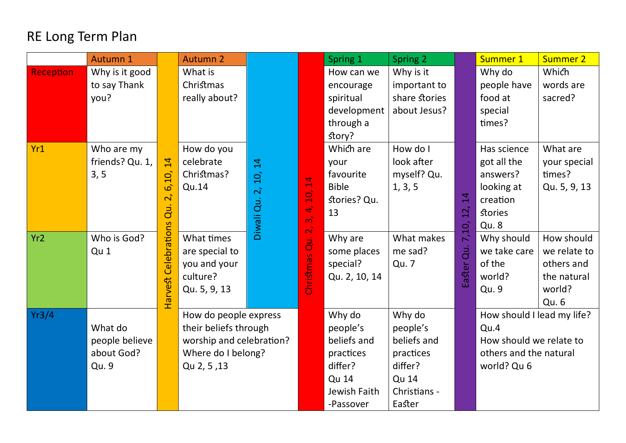## RE Long Term Plan

|                  | Autumn 1        |                         | <b>Autumn 2</b>                                               |               |                 | Spring 1      | Spring 2      |                | Summer 1                   | <b>Summer 2</b> |
|------------------|-----------------|-------------------------|---------------------------------------------------------------|---------------|-----------------|---------------|---------------|----------------|----------------------------|-----------------|
| <b>Reception</b> | Why is it good  |                         | What is                                                       |               |                 | How can we    | Why is it     |                | Why do                     | Which           |
|                  | to say Thank    |                         | Christmas                                                     |               |                 | encourage     | important to  |                | people have                | words are       |
|                  | you?            |                         | really about?                                                 |               |                 | spiritual     | share stories |                | food at                    | sacred?         |
|                  |                 |                         |                                                               |               |                 | development   | about Jesus?  |                | special                    |                 |
|                  |                 |                         |                                                               |               |                 | through a     |               |                | times?                     |                 |
|                  |                 |                         |                                                               |               |                 | story?        |               |                |                            |                 |
| Yr1              | Who are my      |                         | How do you                                                    |               |                 | Which are     | How do I      |                | Has science                | What are        |
|                  | friends? Qu. 1, | 14                      | celebrate                                                     |               |                 | your          | look after    |                | got all the                | your special    |
|                  | 3, 5            | 6,10,                   | Christmas?                                                    | 10, 14        |                 | favourite     | myself? Qu.   |                | answers?                   | times?          |
|                  |                 |                         | Qu.14                                                         |               | $\overline{1}$  | <b>Bible</b>  | 1, 3, 5       |                | looking at                 | Qu. 5, 9, 13    |
|                  |                 | $\overline{\mathbf{c}}$ |                                                               |               | 10,             | stories? Qu.  |               | $\overline{4}$ | creation                   |                 |
|                  |                 | $\overline{d}$          |                                                               |               | 4,<br>$\vec{m}$ | 13            |               | 12,            | <b>stories</b>             |                 |
|                  |                 |                         |                                                               | Diwali Qu. 2, | $\vec{a}$       |               |               | 7,10,          | <b>Qu. 8</b>               |                 |
| Yr <sub>2</sub>  | Who is God?     | Harvest Celebrations    | What times                                                    |               | $\overline{d}$  | Why are       | What makes    |                | Why should                 | How should      |
|                  | Qu 1            |                         | are special to                                                |               |                 | some places   | me sad?       | du.            | we take care               | we relate to    |
|                  |                 |                         | you and your                                                  |               | Christmas       | special?      | Qu. 7         |                | of the                     | others and      |
|                  |                 |                         | culture?                                                      |               |                 | Qu. 2, 10, 14 |               | iaster         | world?                     | the natural     |
|                  |                 |                         | Qu. 5, 9, 13                                                  |               |                 |               |               |                | Qu. 9                      | world?          |
|                  |                 |                         |                                                               |               |                 |               |               |                |                            | Qu. 6           |
| Yr3/4            |                 |                         | How do people express                                         |               |                 | Why do        | Why do        |                | How should I lead my life? |                 |
|                  | What do         |                         | their beliefs through                                         |               |                 | people's      | people's      |                | Qu.4                       |                 |
|                  | people believe  |                         | worship and celebration?<br>Where do I belong?<br>Qu 2, 5, 13 |               |                 | beliefs and   | beliefs and   |                | How should we relate to    |                 |
|                  | about God?      |                         |                                                               |               |                 | practices     | practices     |                | others and the natural     |                 |
|                  | Qu. 9           |                         |                                                               |               |                 | differ?       | differ?       |                | world? Qu 6                |                 |
|                  |                 |                         |                                                               |               |                 | <b>Qu 14</b>  | <b>Qu 14</b>  |                |                            |                 |
|                  |                 |                         |                                                               |               |                 | Jewish Faith  | Christians -  |                |                            |                 |
|                  |                 |                         |                                                               |               |                 | -Passover     | Easter        |                |                            |                 |